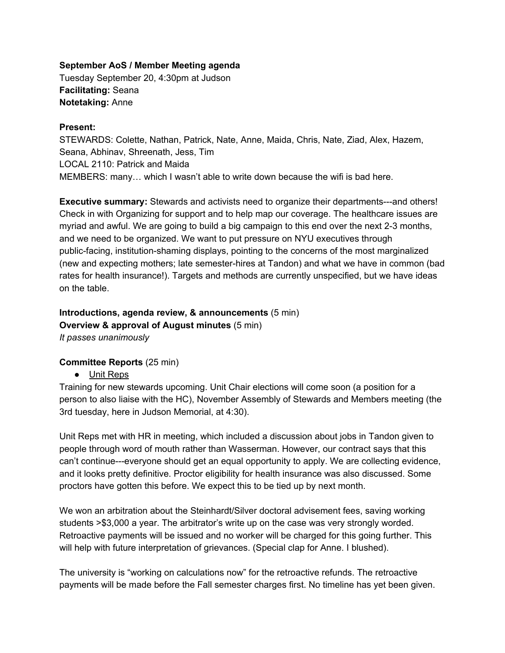#### **September AoS / Member Meeting agenda**

Tuesday September 20, 4:30pm at Judson **Facilitating:** Seana **Notetaking:** Anne

#### **Present:**

STEWARDS: Colette, Nathan, Patrick, Nate, Anne, Maida, Chris, Nate, Ziad, Alex, Hazem, Seana, Abhinav, Shreenath, Jess, Tim LOCAL 2110: Patrick and Maida MEMBERS: many… which I wasn't able to write down because the wifi is bad here.

**Executive summary:** Stewards and activists need to organize their departments---and others! Check in with Organizing for support and to help map our coverage. The healthcare issues are myriad and awful. We are going to build a big campaign to this end over the next 2-3 months, and we need to be organized. We want to put pressure on NYU executives through public-facing, institution-shaming displays, pointing to the concerns of the most marginalized (new and expecting mothers; late semester-hires at Tandon) and what we have in common (bad rates for health insurance!). Targets and methods are currently unspecified, but we have ideas on the table.

## **Introductions, agenda review, & announcements** (5 min) **Overview & approval of August minutes** (5 min) *It passes unanimously*

### **Committee Reports** (25 min)

● Unit Reps

Training for new stewards upcoming. Unit Chair elections will come soon (a position for a person to also liaise with the HC), November Assembly of Stewards and Members meeting (the 3rd tuesday, here in Judson Memorial, at 4:30).

Unit Reps met with HR in meeting, which included a discussion about jobs in Tandon given to people through word of mouth rather than Wasserman. However, our contract says that this can't continue---everyone should get an equal opportunity to apply. We are collecting evidence, and it looks pretty definitive. Proctor eligibility for health insurance was also discussed. Some proctors have gotten this before. We expect this to be tied up by next month.

We won an arbitration about the Steinhardt/Silver doctoral advisement fees, saving working students >\$3,000 a year. The arbitrator's write up on the case was very strongly worded. Retroactive payments will be issued and no worker will be charged for this going further. This will help with future interpretation of grievances. (Special clap for Anne. I blushed).

The university is "working on calculations now" for the retroactive refunds. The retroactive payments will be made before the Fall semester charges first. No timeline has yet been given.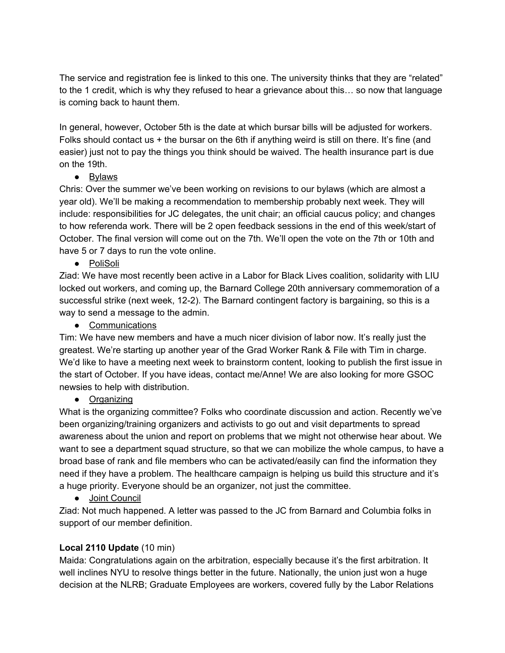The service and registration fee is linked to this one. The university thinks that they are "related" to the 1 credit, which is why they refused to hear a grievance about this… so now that language is coming back to haunt them.

In general, however, October 5th is the date at which bursar bills will be adjusted for workers. Folks should contact us + the bursar on the 6th if anything weird is still on there. It's fine (and easier) just not to pay the things you think should be waived. The health insurance part is due on the 19th.

## ● Bylaws

Chris: Over the summer we've been working on revisions to our bylaws (which are almost a year old). We'll be making a recommendation to membership probably next week. They will include: responsibilities for JC delegates, the unit chair; an official caucus policy; and changes to how referenda work. There will be 2 open feedback sessions in the end of this week/start of October. The final version will come out on the 7th. We'll open the vote on the 7th or 10th and have 5 or 7 days to run the vote online.

● PoliSoli

Ziad: We have most recently been active in a Labor for Black Lives coalition, solidarity with LIU locked out workers, and coming up, the Barnard College 20th anniversary commemoration of a successful strike (next week, 12-2). The Barnard contingent factory is bargaining, so this is a way to send a message to the admin.

● Communications

Tim: We have new members and have a much nicer division of labor now. It's really just the greatest. We're starting up another year of the Grad Worker Rank & File with Tim in charge. We'd like to have a meeting next week to brainstorm content, looking to publish the first issue in the start of October. If you have ideas, contact me/Anne! We are also looking for more GSOC newsies to help with distribution.

● Organizing

What is the organizing committee? Folks who coordinate discussion and action. Recently we've been organizing/training organizers and activists to go out and visit departments to spread awareness about the union and report on problems that we might not otherwise hear about. We want to see a department squad structure, so that we can mobilize the whole campus, to have a broad base of rank and file members who can be activated/easily can find the information they need if they have a problem. The healthcare campaign is helping us build this structure and it's a huge priority. Everyone should be an organizer, not just the committee.

● Joint Council

Ziad: Not much happened. A letter was passed to the JC from Barnard and Columbia folks in support of our member definition.

## **Local 2110 Update** (10 min)

Maida: Congratulations again on the arbitration, especially because it's the first arbitration. It well inclines NYU to resolve things better in the future. Nationally, the union just won a huge decision at the NLRB; Graduate Employees are workers, covered fully by the Labor Relations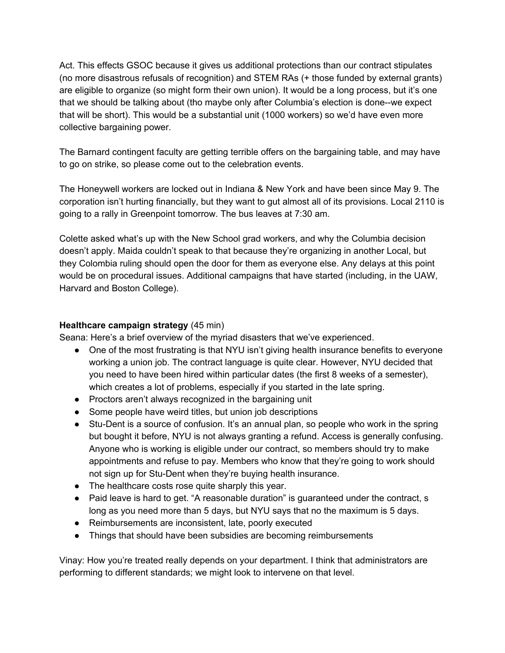Act. This effects GSOC because it gives us additional protections than our contract stipulates (no more disastrous refusals of recognition) and STEM RAs (+ those funded by external grants) are eligible to organize (so might form their own union). It would be a long process, but it's one that we should be talking about (tho maybe only after Columbia's election is done--we expect that will be short). This would be a substantial unit (1000 workers) so we'd have even more collective bargaining power.

The Barnard contingent faculty are getting terrible offers on the bargaining table, and may have to go on strike, so please come out to the celebration events.

The Honeywell workers are locked out in Indiana & New York and have been since May 9. The corporation isn't hurting financially, but they want to gut almost all of its provisions. Local 2110 is going to a rally in Greenpoint tomorrow. The bus leaves at 7:30 am.

Colette asked what's up with the New School grad workers, and why the Columbia decision doesn't apply. Maida couldn't speak to that because they're organizing in another Local, but they Colombia ruling should open the door for them as everyone else. Any delays at this point would be on procedural issues. Additional campaigns that have started (including, in the UAW, Harvard and Boston College).

## **Healthcare campaign strategy** (45 min)

Seana: Here's a brief overview of the myriad disasters that we've experienced.

- One of the most frustrating is that NYU isn't giving health insurance benefits to everyone working a union job. The contract language is quite clear. However, NYU decided that you need to have been hired within particular dates (the first 8 weeks of a semester), which creates a lot of problems, especially if you started in the late spring.
- Proctors aren't always recognized in the bargaining unit
- Some people have weird titles, but union job descriptions
- Stu-Dent is a source of confusion. It's an annual plan, so people who work in the spring but bought it before, NYU is not always granting a refund. Access is generally confusing. Anyone who is working is eligible under our contract, so members should try to make appointments and refuse to pay. Members who know that they're going to work should not sign up for Stu-Dent when they're buying health insurance.
- The healthcare costs rose quite sharply this year.
- Paid leave is hard to get. "A reasonable duration" is guaranteed under the contract, s long as you need more than 5 days, but NYU says that no the maximum is 5 days.
- Reimbursements are inconsistent, late, poorly executed
- Things that should have been subsidies are becoming reimbursements

Vinay: How you're treated really depends on your department. I think that administrators are performing to different standards; we might look to intervene on that level.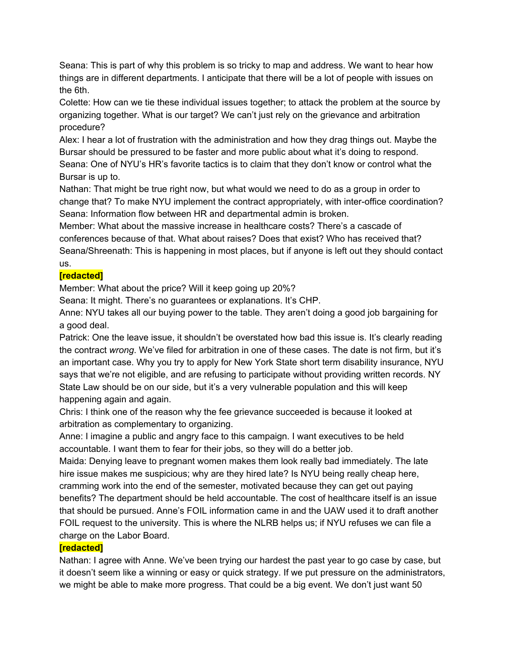Seana: This is part of why this problem is so tricky to map and address. We want to hear how things are in different departments. I anticipate that there will be a lot of people with issues on the 6th.

Colette: How can we tie these individual issues together; to attack the problem at the source by organizing together. What is our target? We can't just rely on the grievance and arbitration procedure?

Alex: I hear a lot of frustration with the administration and how they drag things out. Maybe the Bursar should be pressured to be faster and more public about what it's doing to respond. Seana: One of NYU's HR's favorite tactics is to claim that they don't know or control what the Bursar is up to.

Nathan: That might be true right now, but what would we need to do as a group in order to change that? To make NYU implement the contract appropriately, with inter-office coordination? Seana: Information flow between HR and departmental admin is broken.

Member: What about the massive increase in healthcare costs? There's a cascade of conferences because of that. What about raises? Does that exist? Who has received that? Seana/Shreenath: This is happening in most places, but if anyone is left out they should contact us.

## **[redacted]**

Member: What about the price? Will it keep going up 20%?

Seana: It might. There's no guarantees or explanations. It's CHP.

Anne: NYU takes all our buying power to the table. They aren't doing a good job bargaining for a good deal.

Patrick: One the leave issue, it shouldn't be overstated how bad this issue is. It's clearly reading the contract *wrong*. We've filed for arbitration in one of these cases. The date is not firm, but it's an important case. Why you try to apply for New York State short term disability insurance, NYU says that we're not eligible, and are refusing to participate without providing written records. NY State Law should be on our side, but it's a very vulnerable population and this will keep happening again and again.

Chris: I think one of the reason why the fee grievance succeeded is because it looked at arbitration as complementary to organizing.

Anne: I imagine a public and angry face to this campaign. I want executives to be held accountable. I want them to fear for their jobs, so they will do a better job.

Maida: Denying leave to pregnant women makes them look really bad immediately. The late hire issue makes me suspicious; why are they hired late? Is NYU being really cheap here, cramming work into the end of the semester, motivated because they can get out paying benefits? The department should be held accountable. The cost of healthcare itself is an issue that should be pursued. Anne's FOIL information came in and the UAW used it to draft another FOIL request to the university. This is where the NLRB helps us; if NYU refuses we can file a charge on the Labor Board.

# **[redacted]**

Nathan: I agree with Anne. We've been trying our hardest the past year to go case by case, but it doesn't seem like a winning or easy or quick strategy. If we put pressure on the administrators, we might be able to make more progress. That could be a big event. We don't just want 50